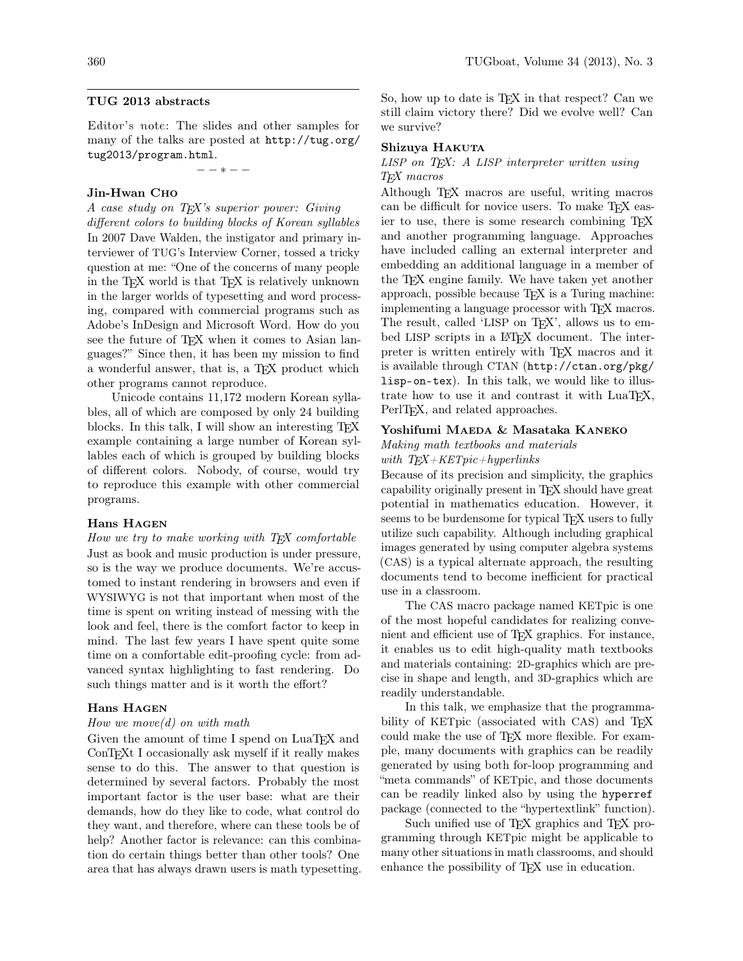## TUG 2013 abstracts

Editor's note: The slides and other samples for many of the talks are posted at [http://tug.org/](http://tug.org/tug2013/program.html) [tug2013/program.html](http://tug.org/tug2013/program.html).

 $- - * - -$ 

## Jin-Hwan Cho

A case study on T<sub>EX</sub>'s superior power: Giving

different colors to building blocks of Korean syllables In 2007 Dave Walden, the instigator and primary interviewer of TUG's Interview Corner, tossed a tricky question at me: "One of the concerns of many people in the TFX world is that TFX is relatively unknown in the larger worlds of typesetting and word processing, compared with commercial programs such as Adobe's InDesign and Microsoft Word. How do you see the future of T<sub>EX</sub> when it comes to Asian languages?" Since then, it has been my mission to find a wonderful answer, that is, a TEX product which other programs cannot reproduce.

Unicode contains 11,172 modern Korean syllables, all of which are composed by only 24 building blocks. In this talk, I will show an interesting TEX example containing a large number of Korean syllables each of which is grouped by building blocks of different colors. Nobody, of course, would try to reproduce this example with other commercial programs.

### Hans Hagen

#### How we try to make working with  $T_F X$  comfortable

Just as book and music production is under pressure, so is the way we produce documents. We're accustomed to instant rendering in browsers and even if WYSIWYG is not that important when most of the time is spent on writing instead of messing with the look and feel, there is the comfort factor to keep in mind. The last few years I have spent quite some time on a comfortable edit-proofing cycle: from advanced syntax highlighting to fast rendering. Do such things matter and is it worth the effort?

### Hans Hagen

#### How we move $(d)$  on with math

Given the amount of time I spend on LuaT<sub>E</sub>X and ConTEXt I occasionally ask myself if it really makes sense to do this. The answer to that question is determined by several factors. Probably the most important factor is the user base: what are their demands, how do they like to code, what control do they want, and therefore, where can these tools be of help? Another factor is relevance: can this combination do certain things better than other tools? One area that has always drawn users is math typesetting.

So, how up to date is T<sub>E</sub>X in that respect? Can we still claim victory there? Did we evolve well? Can we survive?

#### Shizuya HAKUTA

## $LISP$  on  $T\cancel{F}X$ : A  $LISP$  interpreter written using TEX macros

Although T<sub>F</sub>X macros are useful, writing macros can be difficult for novice users. To make TEX easier to use, there is some research combining TEX and another programming language. Approaches have included calling an external interpreter and embedding an additional language in a member of the T<sub>E</sub>X engine family. We have taken yet another approach, possible because T<sub>E</sub>X is a Turing machine: implementing a language processor with T<sub>E</sub>X macros. The result, called 'LISP on T<sub>F</sub>X', allows us to embed LISP scripts in a L<sup>AT</sup>FX document. The interpreter is written entirely with TEX macros and it is available through CTAN ([http://ctan.org/pkg/](http://ctan.org/pkg/lisp-on-tex) [lisp-on-tex](http://ctan.org/pkg/lisp-on-tex)). In this talk, we would like to illustrate how to use it and contrast it with LuaT<sub>EX</sub>, PerlT<sub>EX</sub>, and related approaches.

## Yoshifumi MAEDA & Masataka KANEKO

### Making math textbooks and materials with  $T_{F}X+KETpic+hyperlinks$

Because of its precision and simplicity, the graphics capability originally present in TEX should have great potential in mathematics education. However, it seems to be burdensome for typical T<sub>F</sub>X users to fully utilize such capability. Although including graphical images generated by using computer algebra systems (CAS) is a typical alternate approach, the resulting documents tend to become inefficient for practical use in a classroom.

The CAS macro package named KETpic is one of the most hopeful candidates for realizing convenient and efficient use of TEX graphics. For instance, it enables us to edit high-quality math textbooks and materials containing: 2D-graphics which are precise in shape and length, and 3D-graphics which are readily understandable.

In this talk, we emphasize that the programmability of KETpic (associated with CAS) and T<sub>EX</sub> could make the use of TEX more flexible. For example, many documents with graphics can be readily generated by using both for-loop programming and "meta commands" of KETpic, and those documents can be readily linked also by using the hyperref package (connected to the "hypertextlink" function).

Such unified use of T<sub>E</sub>X graphics and T<sub>E</sub>X programming through KETpic might be applicable to many other situations in math classrooms, and should enhance the possibility of TEX use in education.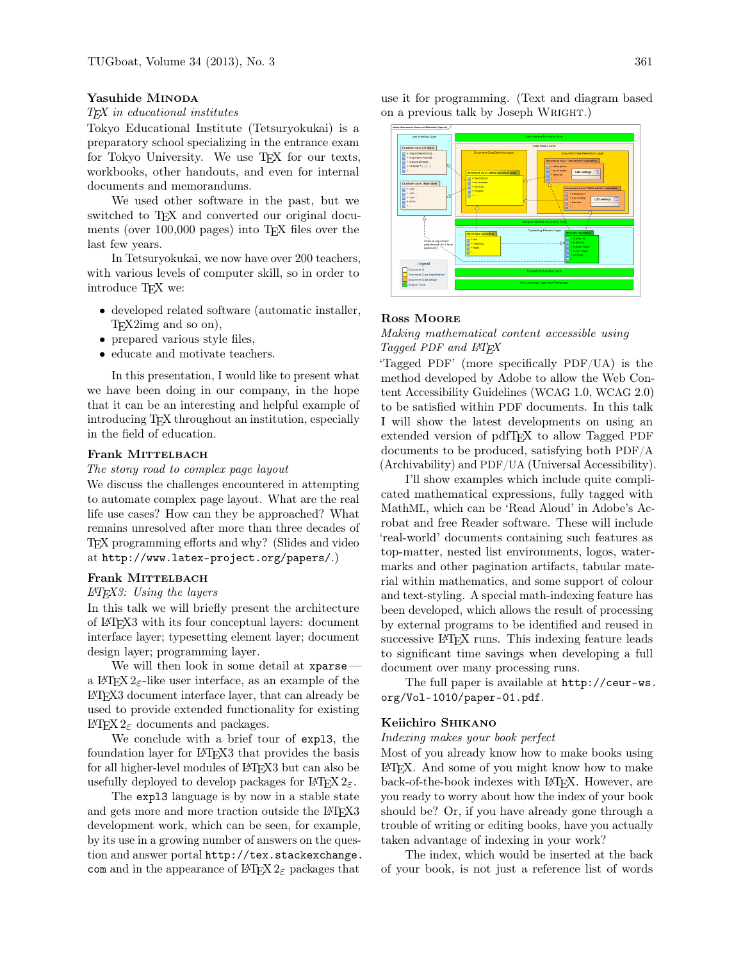### Yasuhide MINODA

# TEX in educational institutes

Tokyo Educational Institute (Tetsuryokukai) is a preparatory school specializing in the entrance exam for Tokyo University. We use T<sub>F</sub>X for our texts, workbooks, other handouts, and even for internal documents and memorandums.

We used other software in the past, but we switched to T<sub>FX</sub> and converted our original documents (over 100,000 pages) into T<sub>F</sub>X files over the last few years.

In Tetsuryokukai, we now have over 200 teachers, with various levels of computer skill, so in order to introduce T<sub>F</sub>X we:

- developed related software (automatic installer, TEX2img and so on),
- prepared various style files,
- educate and motivate teachers.

In this presentation, I would like to present what we have been doing in our company, in the hope that it can be an interesting and helpful example of introducing TEX throughout an institution, especially in the field of education.

### Frank MITTELBACH

#### The stony road to complex page layout

We discuss the challenges encountered in attempting to automate complex page layout. What are the real life use cases? How can they be approached? What remains unresolved after more than three decades of TEX programming efforts and why? (Slides and video at <http://www.latex-project.org/papers/>.)

#### Frank MITTELBACH

### $LAT$  $FX3$ : Using the layers

In this talk we will briefly present the architecture of LATEX3 with its four conceptual layers: document interface layer; typesetting element layer; document design layer; programming layer.

We will then look in some detail at xparsea LAT<sub>E</sub>X 2<sub> $\varepsilon$ </sub>-like user interface, as an example of the LATEX3 document interface layer, that can already be used to provide extended functionality for existing LAT<sub>F</sub>X 2<sub>ε</sub> documents and packages.

We conclude with a brief tour of expl3, the foundation layer for L<sup>AT</sup>FX3 that provides the basis for all higher-level modules of LAT<sub>EX3</sub> but can also be usefully deployed to develop packages for  $\mathbb{F}$ FFX  $2_{\epsilon}$ .

The expl3 language is by now in a stable state and gets more and more traction outside the LAT<sub>EX3</sub> development work, which can be seen, for example, by its use in a growing number of answers on the question and answer portal http://tex.stackexchange. com and in the appearance of  $\mathbb{H}$ FX  $2_{\epsilon}$  packages that use it for programming. (Text and diagram based on a previous talk by Joseph WRIGHT.)



## Ross Moore

## 1 Making mathematical content accessible using Tagged PDF and L<sup>AT</sup>FX

'Tagged PDF' (more specifically PDF/UA) is the method developed by Adobe to allow the Web Content Accessibility Guidelines (WCAG 1.0, WCAG 2.0) to be satisfied within PDF documents. In this talk I will show the latest developments on using an extended version of pdfTFX to allow Tagged PDF documents to be produced, satisfying both PDF/A (Archivability) and PDF/UA (Universal Accessibility).

I'll show examples which include quite complicated mathematical expressions, fully tagged with MathML, which can be 'Read Aloud' in Adobe's Acrobat and free Reader software. These will include 'real-world' documents containing such features as top-matter, nested list environments, logos, watermarks and other pagination artifacts, tabular material within mathematics, and some support of colour and text-styling. A special math-indexing feature has been developed, which allows the result of processing by external programs to be identified and reused in successive LAT<sub>EX</sub> runs. This indexing feature leads to significant time savings when developing a full document over many processing runs.

The full paper is available at [http://ceur-ws.](http://ceur-ws.org/Vol-1010/paper-01.pdf) [org/Vol-1010/paper-01.pdf](http://ceur-ws.org/Vol-1010/paper-01.pdf).

#### Keiichiro Shikano

Indexing makes your book perfect

Most of you already know how to make books using LATEX. And some of you might know how to make back-of-the-book indexes with LATEX. However, are you ready to worry about how the index of your book should be? Or, if you have already gone through a trouble of writing or editing books, have you actually taken advantage of indexing in your work?

The index, which would be inserted at the back of your book, is not just a reference list of words